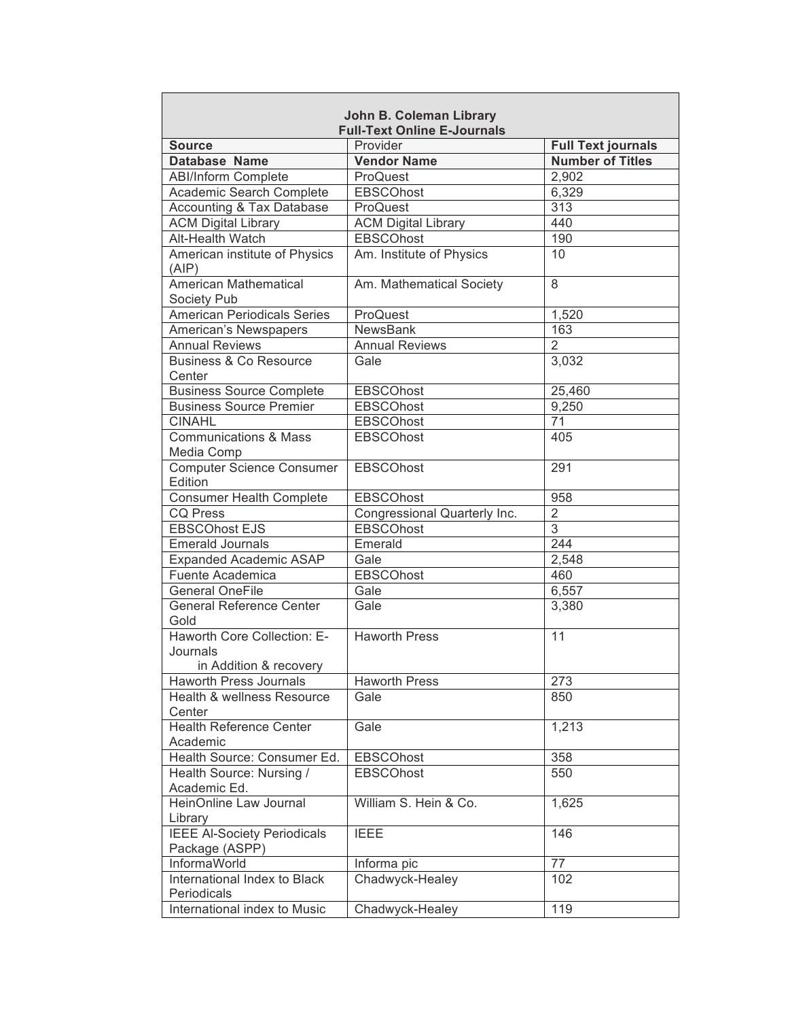| <b>John B. Coleman Library</b>                                    |                              |                           |  |  |
|-------------------------------------------------------------------|------------------------------|---------------------------|--|--|
| <b>Full-Text Online E-Journals</b>                                |                              |                           |  |  |
| <b>Source</b>                                                     | Provider                     | <b>Full Text journals</b> |  |  |
| Database Name                                                     | <b>Vendor Name</b>           | <b>Number of Titles</b>   |  |  |
| <b>ABI/Inform Complete</b>                                        | ProQuest                     | 2,902                     |  |  |
| Academic Search Complete                                          | <b>EBSCOhost</b>             | 6,329                     |  |  |
| Accounting & Tax Database                                         | ProQuest                     | 313                       |  |  |
| <b>ACM Digital Library</b>                                        | <b>ACM Digital Library</b>   | 440                       |  |  |
| Alt-Health Watch                                                  | <b>EBSCOhost</b>             | 190                       |  |  |
| American institute of Physics<br>(AIP)                            | Am. Institute of Physics     | 10                        |  |  |
| American Mathematical<br><b>Society Pub</b>                       | Am. Mathematical Society     | 8                         |  |  |
| <b>American Periodicals Series</b>                                | ProQuest                     | 1,520                     |  |  |
| American's Newspapers                                             | <b>NewsBank</b>              | 163                       |  |  |
| <b>Annual Reviews</b>                                             | <b>Annual Reviews</b>        | $\overline{2}$            |  |  |
| <b>Business &amp; Co Resource</b><br>Center                       | Gale                         | 3,032                     |  |  |
| <b>Business Source Complete</b>                                   | <b>EBSCOhost</b>             | 25,460                    |  |  |
| <b>Business Source Premier</b>                                    | <b>EBSCOhost</b>             | 9,250                     |  |  |
| <b>CINAHL</b>                                                     | <b>EBSCOhost</b>             | 71                        |  |  |
| <b>Communications &amp; Mass</b><br>Media Comp                    | <b>EBSCOhost</b>             | 405                       |  |  |
| <b>Computer Science Consumer</b><br>Edition                       | <b>EBSCOhost</b>             | 291                       |  |  |
| <b>Consumer Health Complete</b>                                   | <b>EBSCOhost</b>             | 958                       |  |  |
| <b>CQ Press</b>                                                   | Congressional Quarterly Inc. | $\overline{2}$            |  |  |
| <b>EBSCOhost EJS</b>                                              | <b>EBSCOhost</b>             | $\overline{3}$            |  |  |
| <b>Emerald Journals</b>                                           | Emerald                      | 244                       |  |  |
| <b>Expanded Academic ASAP</b>                                     | Gale                         | 2,548                     |  |  |
| Fuente Academica                                                  | <b>EBSCOhost</b>             | 460                       |  |  |
| <b>General OneFile</b>                                            | Gale                         | 6,557                     |  |  |
| <b>General Reference Center</b><br>Gold                           | Gale                         | 3,380                     |  |  |
| Haworth Core Collection: E-<br>Journals<br>in Addition & recovery | <b>Haworth Press</b>         | 11                        |  |  |
| Haworth Press Journals                                            | <b>Haworth Press</b>         | 273                       |  |  |
| Health & wellness Resource<br>Center                              | Gale                         | 850                       |  |  |
| <b>Health Reference Center</b><br>Academic                        | Gale                         | 1,213                     |  |  |
| Health Source: Consumer Ed.                                       | <b>EBSCOhost</b>             | 358                       |  |  |
| Health Source: Nursing /<br>Academic Ed.                          | <b>EBSCOhost</b>             | 550                       |  |  |
| HeinOnline Law Journal<br>Library                                 | William S. Hein & Co.        | 1,625                     |  |  |
| <b>IEEE Al-Society Periodicals</b><br>Package (ASPP)              | <b>IEEE</b>                  | 146                       |  |  |
| InformaWorld                                                      | Informa pic                  | 77                        |  |  |
| International Index to Black<br>Periodicals                       | Chadwyck-Healey              | 102                       |  |  |
| International index to Music                                      | Chadwyck-Healey              | 119                       |  |  |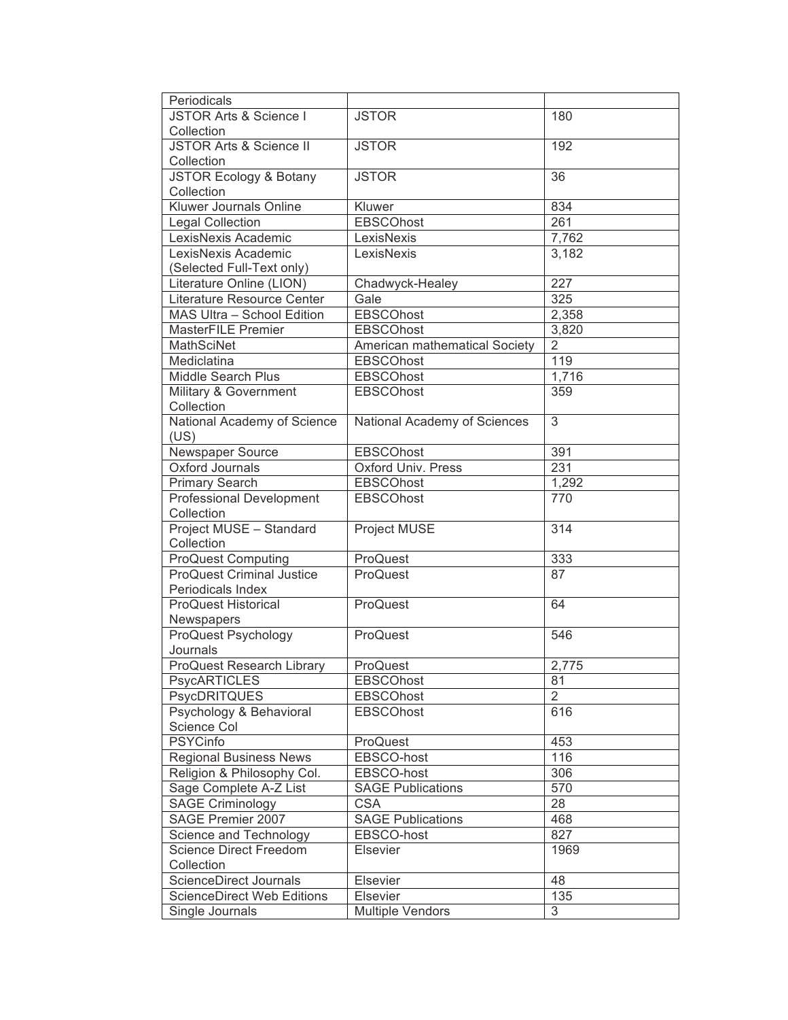| Periodicals                                  |                                        |                 |
|----------------------------------------------|----------------------------------------|-----------------|
| JSTOR Arts & Science I                       | <b>JSTOR</b>                           | 180             |
| Collection                                   |                                        |                 |
| <b>JSTOR Arts &amp; Science II</b>           | <b>JSTOR</b>                           | 192             |
| Collection                                   |                                        |                 |
| <b>JSTOR Ecology &amp; Botany</b>            | <b>JSTOR</b>                           | $\overline{36}$ |
| Collection                                   |                                        |                 |
| Kluwer Journals Online                       | Kluwer                                 | 834             |
| <b>Legal Collection</b>                      | <b>EBSCOhost</b>                       | 261             |
| LexisNexis Academic                          | LexisNexis                             | 7,762           |
| LexisNexis Academic                          | LexisNexis                             | 3,182           |
| (Selected Full-Text only)                    |                                        |                 |
| Literature Online (LION)                     | Chadwyck-Healey                        | 227             |
| Literature Resource Center                   | Gale                                   | 325             |
| MAS Ultra - School Edition                   | <b>EBSCOhost</b>                       | 2,358           |
| <b>MasterFILE Premier</b>                    | <b>EBSCOhost</b>                       | 3,820           |
| <b>MathSciNet</b>                            | American mathematical Society          | $\overline{2}$  |
| Mediclatina                                  | <b>EBSCOhost</b>                       | 119             |
| Middle Search Plus                           | <b>EBSCOhost</b>                       | 1,716           |
| Military & Government                        | <b>EBSCOhost</b>                       | 359             |
| Collection                                   |                                        |                 |
| National Academy of Science                  | National Academy of Sciences           | $\overline{3}$  |
| (US)                                         |                                        |                 |
| <b>Newspaper Source</b>                      | <b>EBSCOhost</b>                       | 391             |
| Oxford Journals                              | <b>Oxford Univ. Press</b>              | 231             |
| <b>Primary Search</b>                        | <b>EBSCOhost</b>                       | 1,292           |
| <b>Professional Development</b>              | <b>EBSCOhost</b>                       | 770             |
| Collection                                   |                                        |                 |
| Project MUSE - Standard                      | Project MUSE                           | 314             |
| Collection                                   |                                        |                 |
| <b>ProQuest Computing</b>                    | ProQuest                               | 333             |
| <b>ProQuest Criminal Justice</b>             | ProQuest                               | 87              |
| Periodicals Index                            |                                        |                 |
| <b>ProQuest Historical</b>                   | ProQuest                               | 64              |
| Newspapers                                   |                                        |                 |
| ProQuest Psychology                          | ProQuest                               | 546             |
| Journals                                     |                                        |                 |
| ProQuest Research Library                    | ProQuest                               | 2,775           |
| <b>PsycARTICLES</b>                          | <b>EBSCOhost</b>                       | 81              |
| <b>PsycDRITQUES</b>                          | <b>EBSCOhost</b>                       | $\overline{2}$  |
| Psychology & Behavioral                      | <b>EBSCOhost</b>                       | 616             |
| Science Col                                  |                                        |                 |
| <b>PSYCinfo</b>                              | ProQuest                               | 453             |
| <b>Regional Business News</b>                | EBSCO-host                             | 116             |
| Religion & Philosophy Col.                   | EBSCO-host                             | 306             |
| Sage Complete A-Z List                       |                                        | 570             |
|                                              | <b>SAGE Publications</b><br><b>CSA</b> | 28              |
| <b>SAGE Criminology</b><br>SAGE Premier 2007 |                                        |                 |
|                                              | <b>SAGE Publications</b>               | 468             |
| Science and Technology                       | EBSCO-host                             | 827             |
| <b>Science Direct Freedom</b>                | Elsevier                               | 1969            |
| Collection                                   |                                        |                 |
| ScienceDirect Journals                       | Elsevier                               | 48              |
| <b>ScienceDirect Web Editions</b>            | Elsevier                               | 135             |
| Single Journals                              | <b>Multiple Vendors</b>                | 3               |